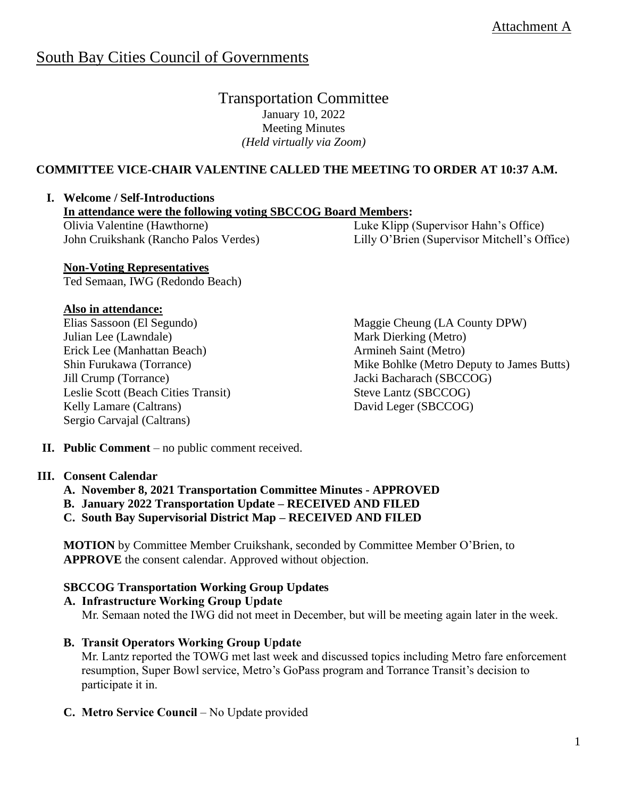# South Bay Cities Council of Governments

Transportation Committee January 10, 2022 Meeting Minutes *(Held virtually via Zoom)*

## **COMMITTEE VICE-CHAIR VALENTINE CALLED THE MEETING TO ORDER AT 10:37 A.M.**

#### **I. Welcome / Self-Introductions In attendance were the following voting SBCCOG Board Members:**  Olivia Valentine (Hawthorne) John Cruikshank (Rancho Palos Verdes) Luke Klipp (Supervisor Hahn's Office) Lilly O'Brien (Supervisor Mitchell's Office)

# **Non-Voting Representatives**

Ted Semaan, IWG (Redondo Beach)

#### **Also in attendance:**

Elias Sassoon (El Segundo) Julian Lee (Lawndale) Erick Lee (Manhattan Beach) Shin Furukawa (Torrance) Jill Crump (Torrance) Leslie Scott (Beach Cities Transit) Kelly Lamare (Caltrans) Sergio Carvajal (Caltrans)

Maggie Cheung (LA County DPW) Mark Dierking (Metro) Armineh Saint (Metro) Mike Bohlke (Metro Deputy to James Butts) Jacki Bacharach (SBCCOG) Steve Lantz (SBCCOG) David Leger (SBCCOG)

#### **II. Public Comment** – no public comment received.

#### **III. Consent Calendar**

- **A. November 8, 2021 Transportation Committee Minutes - APPROVED**
- **B. January 2022 Transportation Update – RECEIVED AND FILED**
- **C. South Bay Supervisorial District Map – RECEIVED AND FILED**

**MOTION** by Committee Member Cruikshank, seconded by Committee Member O'Brien, to **APPROVE** the consent calendar. Approved without objection.

#### **SBCCOG Transportation Working Group Updates**

#### **A. Infrastructure Working Group Update**

Mr. Semaan noted the IWG did not meet in December, but will be meeting again later in the week.

# **B. Transit Operators Working Group Update**

Mr. Lantz reported the TOWG met last week and discussed topics including Metro fare enforcement resumption, Super Bowl service, Metro's GoPass program and Torrance Transit's decision to participate it in.

**C. Metro Service Council** – No Update provided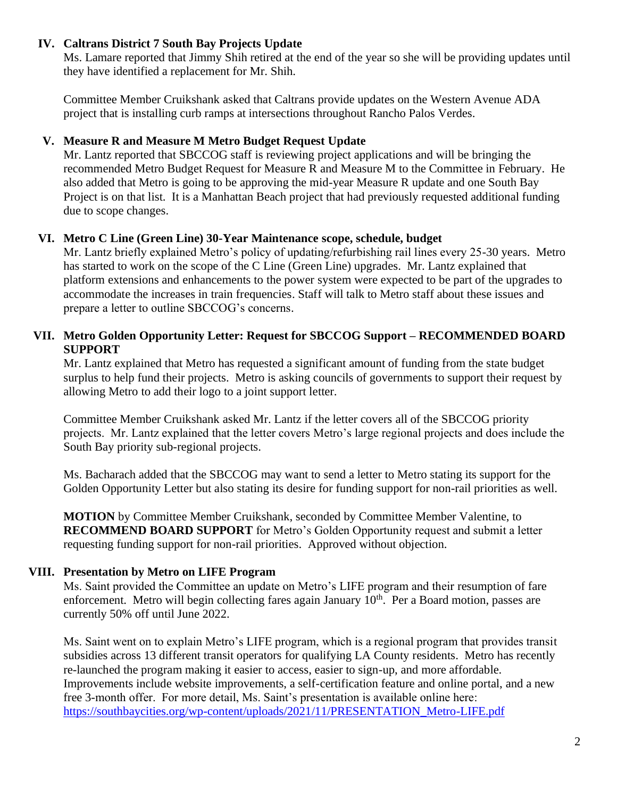#### **IV. Caltrans District 7 South Bay Projects Update**

Ms. Lamare reported that Jimmy Shih retired at the end of the year so she will be providing updates until they have identified a replacement for Mr. Shih.

Committee Member Cruikshank asked that Caltrans provide updates on the Western Avenue ADA project that is installing curb ramps at intersections throughout Rancho Palos Verdes.

## **V. Measure R and Measure M Metro Budget Request Update**

Mr. Lantz reported that SBCCOG staff is reviewing project applications and will be bringing the recommended Metro Budget Request for Measure R and Measure M to the Committee in February. He also added that Metro is going to be approving the mid-year Measure R update and one South Bay Project is on that list. It is a Manhattan Beach project that had previously requested additional funding due to scope changes.

# **VI. Metro C Line (Green Line) 30-Year Maintenance scope, schedule, budget**

Mr. Lantz briefly explained Metro's policy of updating/refurbishing rail lines every 25-30 years. Metro has started to work on the scope of the C Line (Green Line) upgrades. Mr. Lantz explained that platform extensions and enhancements to the power system were expected to be part of the upgrades to accommodate the increases in train frequencies. Staff will talk to Metro staff about these issues and prepare a letter to outline SBCCOG's concerns.

## **VII. Metro Golden Opportunity Letter: Request for SBCCOG Support – RECOMMENDED BOARD SUPPORT**

Mr. Lantz explained that Metro has requested a significant amount of funding from the state budget surplus to help fund their projects. Metro is asking councils of governments to support their request by allowing Metro to add their logo to a joint support letter.

Committee Member Cruikshank asked Mr. Lantz if the letter covers all of the SBCCOG priority projects. Mr. Lantz explained that the letter covers Metro's large regional projects and does include the South Bay priority sub-regional projects.

Ms. Bacharach added that the SBCCOG may want to send a letter to Metro stating its support for the Golden Opportunity Letter but also stating its desire for funding support for non-rail priorities as well.

**MOTION** by Committee Member Cruikshank, seconded by Committee Member Valentine, to **RECOMMEND BOARD SUPPORT** for Metro's Golden Opportunity request and submit a letter requesting funding support for non-rail priorities. Approved without objection.

# **VIII. Presentation by Metro on LIFE Program**

Ms. Saint provided the Committee an update on Metro's LIFE program and their resumption of fare enforcement. Metro will begin collecting fares again January  $10<sup>th</sup>$ . Per a Board motion, passes are currently 50% off until June 2022.

Ms. Saint went on to explain Metro's LIFE program, which is a regional program that provides transit subsidies across 13 different transit operators for qualifying LA County residents. Metro has recently re-launched the program making it easier to access, easier to sign-up, and more affordable. Improvements include website improvements, a self-certification feature and online portal, and a new free 3-month offer. For more detail, Ms. Saint's presentation is available online here: [https://southbaycities.org/wp-content/uploads/2021/11/PRESENTATION\\_Metro-LIFE.pdf](https://southbaycities.org/wp-content/uploads/2021/11/PRESENTATION_Metro-LIFE.pdf)